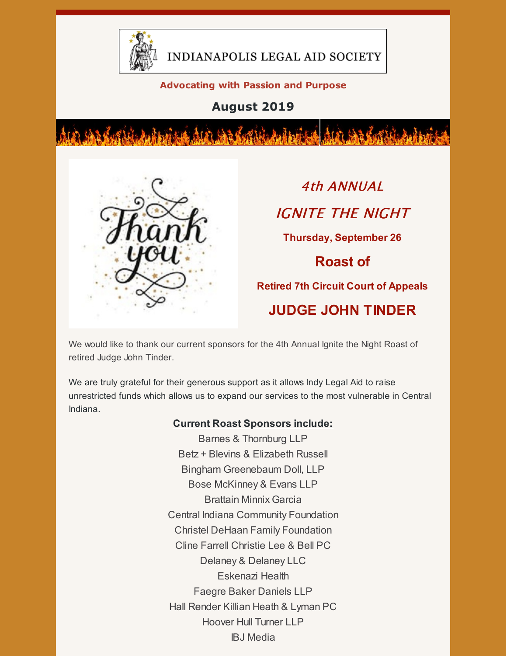

INDIANAPOLIS LEGAL AID SOCIETY

#### **Advocating with Passion and Purpose**

**August 2019**



4th ANNUAL IGNITE THE NIGHT **Thursday, September 26 Roast of Retired 7th Circuit Court of Appeals JUDGE JOHN TINDER**

We would like to thank our current sponsors for the 4th Annual Ignite the Night Roast of retired Judge John Tinder.

We are truly grateful for their generous support as it allows Indy Legal Aid to raise unrestricted funds which allows us to expand our services to the most vulnerable in Central Indiana.

#### **Current Roast Sponsors include:**

Barnes & Thornburg LLP Betz + Blevins & Elizabeth Russell Bingham Greenebaum Doll, LLP Bose McKinney & Evans LLP Brattain Minnix Garcia Central Indiana Community Foundation Christel DeHaan Family Foundation Cline Farrell Christie Lee & Bell PC Delaney & Delaney LLC Eskenazi Health Faegre Baker Daniels LLP Hall Render Killian Heath & Lyman PC Hoover Hull Turner LLP IBJ Media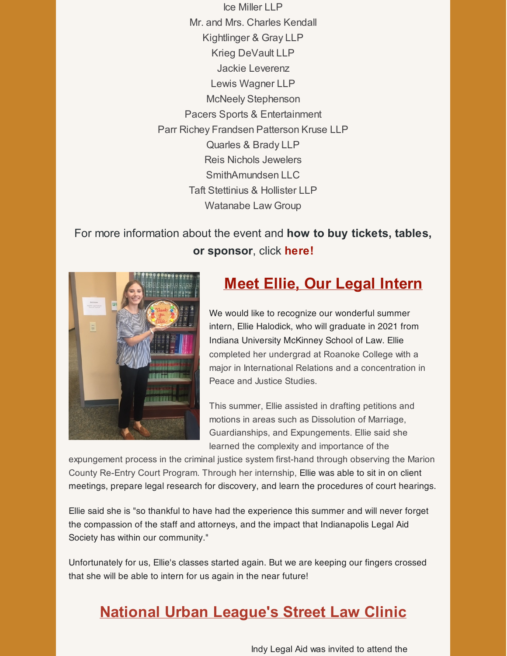Ice Miller LLP Mr. and Mrs. Charles Kendall Kightlinger & Gray LLP Krieg DeVault LLP Jackie Leverenz Lewis Wagner LLP McNeely Stephenson Pacers Sports & Entertainment Parr Richey Frandsen Patterson Kruse LLP Quarles & Brady LLP Reis Nichols Jewelers SmithAmundsen LLC Taft Stettinius & Hollister LLP Watanabe Law Group

### For more information about the event and **how to buy tickets, tables, or sponsor**, click **[here](https://www.indylas.org/ignite)[!](https://em-ui.constantcontact.com/em-ui/em/page/em-ui/email#)**



### **Meet Ellie, Our Legal Intern**

We would like to recognize our wonderful summer intern, Ellie Halodick, who will graduate in 2021 from Indiana University McKinney School of Law. Ellie completed her undergrad at Roanoke College with a major in International Relations and a concentration in Peace and Justice Studies.

This summer, Ellie assisted in drafting petitions and motions in areas such as Dissolution of Marriage, Guardianships, and Expungements. Ellie said she learned the complexity and importance of the

expungement process in the criminal justice system first-hand through observing the Marion County Re-Entry Court Program. Through her internship, Ellie was able to sit in on client meetings, prepare legal research for discovery, and learn the procedures of court hearings.

Ellie said she is "so thankful to have had the experience this summer and will never forget the compassion of the staff and attorneys, and the impact that Indianapolis Legal Aid Society has within our community."

Unfortunately for us, Ellie's classes started again. But we are keeping our fingers crossed that she will be able to intern for us again in the near future!

## **National Urban League's Street Law Clinic**

Indy Legal Aid was invited to attend the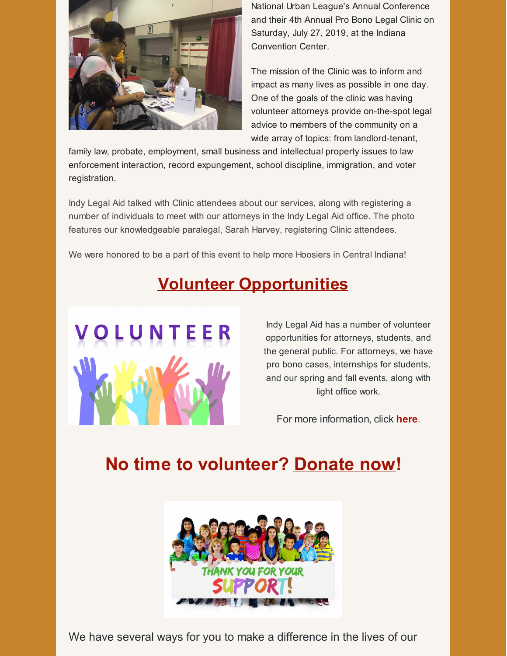

National Urban League's Annual Conference and their 4th Annual Pro Bono Legal Clinic on Saturday, July 27, 2019, at the Indiana Convention Center.

The mission of the Clinic was to inform and impact as many lives as possible in one day. One of the goals of the clinic was having volunteer attorneys provide on-the-spot legal advice to members of the community on a wide array of topics: from landlord-tenant,

family law, probate, employment, small business and intellectual property issues to law enforcement interaction, record expungement, school discipline, immigration, and voter registration.

Indy Legal Aid talked with Clinic attendees about our services, along with registering a number of individuals to meet with our attorneys in the Indy Legal Aid office. The photo features our knowledgeable paralegal, Sarah Harvey, registering Clinic attendees.

We were honored to be a part of this event to help more Hoosiers in Central Indiana!

## **Volunteer Opportunities**



Indy Legal Aid has a number of volunteer opportunities for attorneys, students, and the general public. For attorneys, we have pro bono cases, internships for students, and our spring and fall events, along with light office work.

For more information, click **[here](https://www.indylas.org/volunteering)**[.](https://www.indylas.org/volunteering)

# **No time to volunteer? [Donate](https://interland3.donorperfect.net/weblink/weblink.aspx?name=E5192&id=1) now!**



We have several ways for you to make a difference in the lives of our